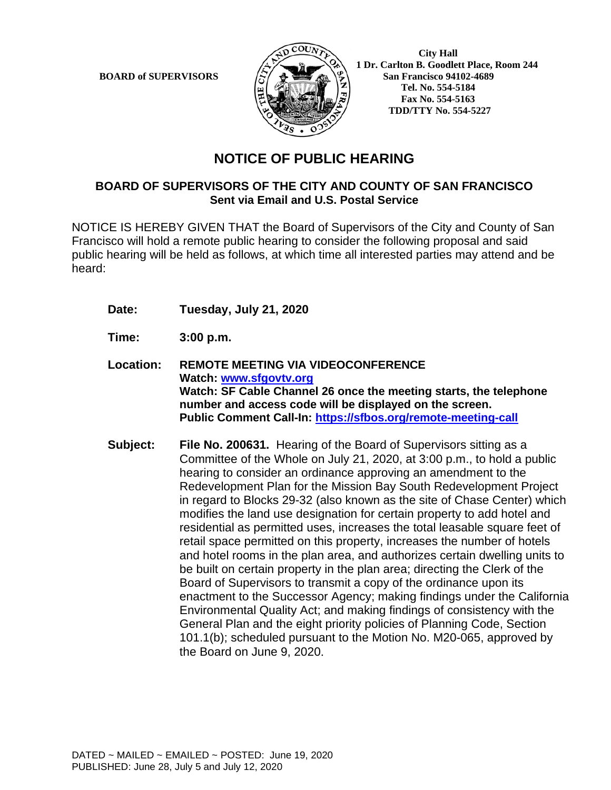

**BOARD of SUPERVISORS**  $\left(\frac{1}{2}\right)$   $\left(\frac{1}{2}\right)$  **1** Dr. Carlton B. Goodlett Place, Room 244 **San Francisco 94102-4689 Tel. No. 554-5184 Fax No. 554-5163 TDD/TTY No. 554-5227**

## **NOTICE OF PUBLIC HEARING**

#### **BOARD OF SUPERVISORS OF THE CITY AND COUNTY OF SAN FRANCISCO Sent via Email and U.S. Postal Service**

NOTICE IS HEREBY GIVEN THAT the Board of Supervisors of the City and County of San Francisco will hold a remote public hearing to consider the following proposal and said public hearing will be held as follows, at which time all interested parties may attend and be heard:

- **Date: Tuesday, July 21, 2020**
- **Time: 3:00 p.m.**
- **Location: REMOTE MEETING VIA VIDEOCONFERENCE Watch: www.sfgovtv.org Watch: SF Cable Channel 26 once the meeting starts, the telephone number and access code will be displayed on the screen. Public Comment Call-In: https://sfbos.org/remote-meeting-call**
- **Subject: File No. 200631.** Hearing of the Board of Supervisors sitting as a Committee of the Whole on July 21, 2020, at 3:00 p.m., to hold a public hearing to consider an ordinance approving an amendment to the Redevelopment Plan for the Mission Bay South Redevelopment Project in regard to Blocks 29-32 (also known as the site of Chase Center) which modifies the land use designation for certain property to add hotel and residential as permitted uses, increases the total leasable square feet of retail space permitted on this property, increases the number of hotels and hotel rooms in the plan area, and authorizes certain dwelling units to be built on certain property in the plan area; directing the Clerk of the Board of Supervisors to transmit a copy of the ordinance upon its enactment to the Successor Agency; making findings under the California Environmental Quality Act; and making findings of consistency with the General Plan and the eight priority policies of Planning Code, Section 101.1(b); scheduled pursuant to the Motion No. M20-065, approved by the Board on June 9, 2020.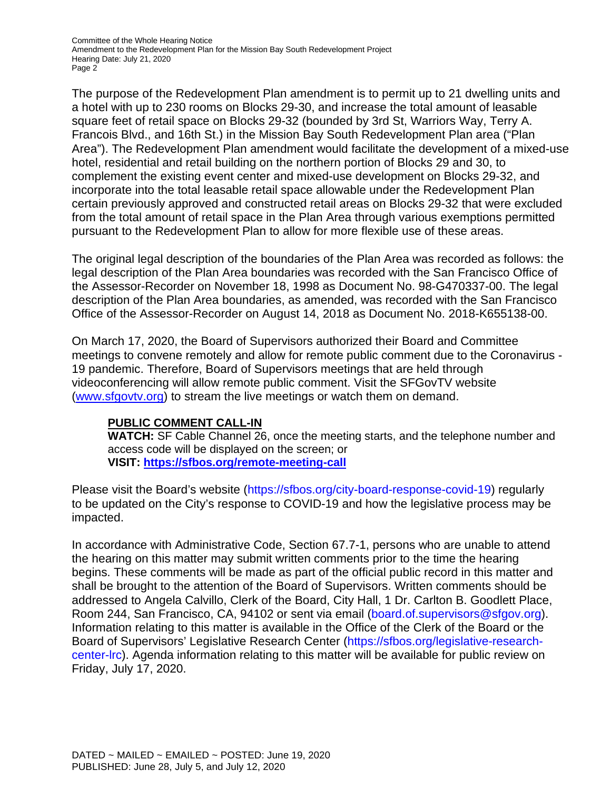Committee of the Whole Hearing Notice Amendment to the Redevelopment Plan for the Mission Bay South Redevelopment Project Hearing Date: July 21, 2020 Page 2

The purpose of the Redevelopment Plan amendment is to permit up to 21 dwelling units and a hotel with up to 230 rooms on Blocks 29-30, and increase the total amount of leasable square feet of retail space on Blocks 29-32 (bounded by 3rd St, Warriors Way, Terry A. Francois Blvd., and 16th St.) in the Mission Bay South Redevelopment Plan area ("Plan Area"). The Redevelopment Plan amendment would facilitate the development of a mixed-use hotel, residential and retail building on the northern portion of Blocks 29 and 30, to complement the existing event center and mixed-use development on Blocks 29-32, and incorporate into the total leasable retail space allowable under the Redevelopment Plan certain previously approved and constructed retail areas on Blocks 29-32 that were excluded from the total amount of retail space in the Plan Area through various exemptions permitted pursuant to the Redevelopment Plan to allow for more flexible use of these areas.

The original legal description of the boundaries of the Plan Area was recorded as follows: the legal description of the Plan Area boundaries was recorded with the San Francisco Office of the Assessor-Recorder on November 18, 1998 as Document No. 98-G470337-00. The legal description of the Plan Area boundaries, as amended, was recorded with the San Francisco Office of the Assessor-Recorder on August 14, 2018 as Document No. 2018-K655138-00.

On March 17, 2020, the Board of Supervisors authorized their Board and Committee meetings to convene remotely and allow for remote public comment due to the Coronavirus - 19 pandemic. Therefore, Board of Supervisors meetings that are held through videoconferencing will allow remote public comment. Visit the SFGovTV website (www.sfgovtv.org) to stream the live meetings or watch them on demand.

#### **PUBLIC COMMENT CALL-IN**

**WATCH:** SF Cable Channel 26, once the meeting starts, and the telephone number and access code will be displayed on the screen; or **VISIT: https://sfbos.org/remote-meeting-call** 

Please visit the Board's website (https://sfbos.org/city-board-response-covid-19) regularly to be updated on the City's response to COVID-19 and how the legislative process may be impacted.

In accordance with Administrative Code, Section 67.7-1, persons who are unable to attend the hearing on this matter may submit written comments prior to the time the hearing begins. These comments will be made as part of the official public record in this matter and shall be brought to the attention of the Board of Supervisors. Written comments should be addressed to Angela Calvillo, Clerk of the Board, City Hall, 1 Dr. Carlton B. Goodlett Place, Room 244, San Francisco, CA, 94102 or sent via email (board.of.supervisors@sfgov.org). Information relating to this matter is available in the Office of the Clerk of the Board or the Board of Supervisors' Legislative Research Center (https://sfbos.org/legislative-researchcenter-lrc). Agenda information relating to this matter will be available for public review on Friday, July 17, 2020.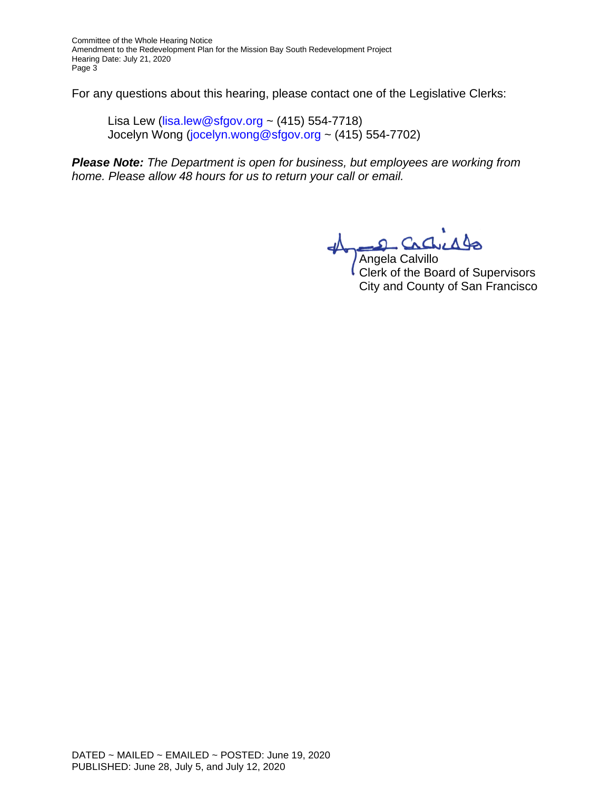Committee of the Whole Hearing Notice Amendment to the Redevelopment Plan for the Mission Bay South Redevelopment Project Hearing Date: July 21, 2020 Page 3

For any questions about this hearing, please contact one of the Legislative Clerks:

Lisa Lew (lisa.lew@sfgov.org ~  $(415)$  554-7718) Jocelyn Wong (jocelyn.wong@sfgov.org ~ (415) 554-7702)

*Please Note: The Department is open for business, but employees are working from home. Please allow 48 hours for us to return your call or email.*

Angela Calvillo

Clerk of the Board of Supervisors City and County of San Francisco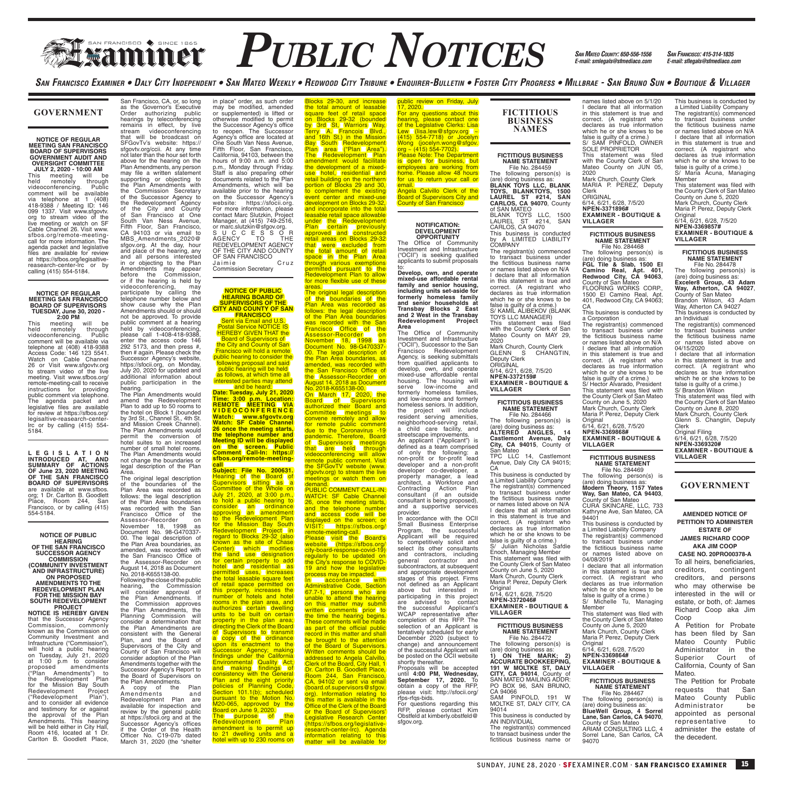# **FRANCISCO PUBLIC NOTICES** *SAN MATEO COUNTY. 650-556-1556 SAN FRANCISCO: 415-314-1835*

*SAN MATEO COUNTY: 650-556-1556 E-mail: smlegals@sfmediaco.com*

names listed above on 5/1/20

SAN FRANCISCO EXAMINER • DALY CITY INDEPENDENT • SAN MATEO WEEKLY • REDWOOD CITY TRIBUNE • ENQUIRER-BULLETIN • FOSTER CITY PROGRESS • MILLBRAE - SAN BRUNO SUN • BOUTIQUE & VILLAGER

#### **GOVERNMENT**

**NOTICE OF REGULAR MEETING SAN FRANCISCO BOARD OF SUPERVISORS GOVERNMENT AUDIT AND OVERSIGHT COMMITTEE** 

**JULY 2, 2020 - 10:00 AM**<br>This meeting will b This meeting will be held remotely through videoconferencing. Public comment will be available via telephone at 1 (408) 418-9388 / Meeting ID: 146 099 1337. Visit www.sfgovtv. org to stream video of the live meeting or watch on SF Cable Channel 26. Visit www. sfbos.org/remote-meetingcall for more information. The agenda packet and legislative files are available for review at https://sfbos.org/legisaltive-reasearch-center-lrc or by calling (415) 554-5184.

#### **NOTICE OF REGULAR MEETING SAN FRANCISCO BOARD OF SUPERVISORS TUESDAY, June 30, 2020 - 2:00 PM**

This meeting will be held remotely through videoconferencing. Public comment will be available via telephone at (408) 418-9388 Access Code: 146 123 5541. Watch on Cable Channel 26 or Visit www.sfgovtv.org to stream video of the live meeting. Visit www.sfbos.org/ remote-meeting-call to receive instructions for providing public comment via telephone. The agenda packet and legislative files are available for review at https://sfbos.org/ legisaltive-reasearch-cente lrc or by calling (415) 554- 5184.

**L E G I S L A T I O N INTRODUCED AT, AND SUMMARY OF ACTIONS OF June 23, 2020 MEETING OF THE SAN FRANCISCO BOARD OF SUPERVISORS** are available at www.sfbos. org; 1 Dr. Carlton B. Goodlett Place, Room 244, San Francisco, or by calling (415) 554-5184.

#### **NOTICE OF PUBLIC HEARING OF THE SAN FRANCISCO SUCCESSOR AGENCY**

**COMMISSION (COMMUNITY INVESTMENT AND INFRASTRUCTURE) ON PROPOSED AMENDMENTS TO THE** 

**REDEVELOPMENT PLAN FOR THE MISSION BAY SOUTH REDEVELOPMENT PROJECT**

**NOTICE IS HEREBY GIVEN** that the Successor Agency Commission, commonly known as the Commission on Community Investment and Infrastructure ("Commission"), will hold a public hearing on Tuesday, July 21, 2020 at 1:00 p.m to consider proposed amendments ("Plan Amendments") to the Redevelopment Plan the Redevelopment Plan<br>the Redevelopment Plan<br>Redevelopment Project Redevelopment Project<br>
("Redevelopment Plan"),<br>
and to consider all evidence<br>
and testimony for or against the approval of the Plan<br>Amendments. This hearing<br>will be held either in City Hall, Room 416, located at 1 Dr. Carlton B. Goodlett Place,

San Francisco, CA, or, so long as the Governor's Executive Order authorizing public hearings by teleconferencing remains in effect, by live stream videoconferencing stream videocomerencing<br>that will be broadcast on SFGovTv's website: https:// sfgovtv.org/ccii. At any time not later than the hour set forth above for the hearing on the Plan Amendments, any person may file a written statement<br>supporting or objecting to<br>the Plan Amendments with the Commission Secretary of the Successor Agency to the Redevelopment Agency of the City and County of San Francisco at One South Van Ness Avenue, Fifth Floor, San Francisco, CA 94103 or via email to MBS\_Amendments\_2020@ sfgov.org. At the day, hour and place of the hearing, any and all persons interested in or objecting to the Plan Amendments may appear before the Commission,

or if the hearing is held by videoconferencing, may participate by calling the telephone number below and show cause why the Plan Amendments should or should not be approved. To provide public comment at a hearing held by videoconferencing, please call 1-408-418-9388, enter the access code 146 292 5173, and then press #, then # again. Please check the Successor Agency's website, https://sfocii.org, on Monday, July 20, 2020 for updated and

additional information about public participation in the hearing. The Plan Amendments would amend the Redevelopment Plan to add up to 50 rooms to the hotel on Block 1 (bounded by 3rd St., Channel St., 4th St. and Mission Creek Channel). The Plan Amendments would permit the conversion of hotel suites to an increased number of small hotel rooms. The Plan Amendments would not change the boundaries or legal description of the Plan

Area.

The original legal description of the boundaries of the Plan Area was recorded as follows: the legal description of the Plan Area boundaries was recorded with the San Francisco Office of the Assessor-Recorder on November 18, 1998 as Document No. 98-G470337- 00. The legal description of the Plan Area boundaries, as amended, was recorded with the San Francisco Office of<br>the Assessor-Becorder on Assessor-Recorder August 14, 2018 as Document No. 2018-K655138-00.

Following the close of the public<br>hearing. the Commission hearing, the Commission<br>will consider approval of<br>the Plan Amendments. If will consider approval of the Plan Amendments. If the Commission approves the Plan Amendments, the Planning Commission will consider a determination that the Plan Amendments are consistent with the General Plan, and the Board of Supervisors of the City and County of San Francisco will

consider adoption of the Plan Amendments together with the Successor Agency's Report to the Board of Supervisors on the Plan Amendments. A copy of the Plan Amendments and

Redevelopment Plan are available for inspection and review by the general public at https://sfocii.org and at the Successor Agency's offices if the Order of the Health Officer No. C19-07b dated March 31, 2020 (the "shelter

in place" order, as such order may be modified, amended or supplemented) is lifted or otherwise modified to permit the Successor Agency's office to reopen. The Successor Agency's office are located at One South Van Ness Avenue, Fifth Floor, San Francisco, California, 94103, between the hours of 9:00 a.m. and 5:00 p.m., Monday through Friday. Staff is also preparing other documents related to the Plan Amendments, which will be available prior to the hearing on the Successor Agency's website: https://sfocii.org. For more information, please contact Marc Slutzkin, Project Manager, at (415) 749-2516, or marc.slutzkin@sfgov.org. S U C C E S S O R AGENCY TO THE REDEVELOPMENT AGENCY OF THE CITY AND COUNTY OF SAN FRANCISCO

Jaimie Cruz<br>Commission Secretary

#### **NOTICE OF PUBLIC HEARING BOARD OF SUPERVISORS OF THE CITY AND COUNTY OF SAN**

**FRANCISCO**<br>
Sent via Email and U.S.<br>
Postal Service NOTICE IS<br>
HEREBY GIVEN THAT the Board of Supervisors of the City and County of San Francisco will hold a remote public hearing to consider the following proposal and said<br>|public hearing will be held<br>as follows, at which time all interested parties may attend and be heard: **Date: Tuesday, July 21, 2020** 

**Time: 3:00 p.m. Location: REMOTE MEETING VIA V I D E O C O N F E R E N C E Watch: www.sfgovtv.org Watch: SF Cable Channel 26 once the meeting starts, the telephone number and**  Meeting ID will be displayed<br>on the screen. Public<br>Comment Call-In: https://<br>sfbos.org/remote-meeting-

**call Subject: File No. 200631.** Hearing of the Board of Supervisors sitting as a Committee of the Whole on July 21, 2020, at 3:00 p.m., to hold a public hearing to consider an ordinance<br>
approving an amendment<br>
for the Redevelopment Plan<br>
Fedevelopment Project in<br>
Fedevelopment Project in<br>
regard to Blocks 29-32 (also<br>
known as the site of Chase Center) which modifies the land use designation for certain property to add<br>hotel (and (residential (as<br>permitted (uses, (increases) the total leasable square feet of retail space permitted on this property, increases the number of hotels and hotel rooms in the plan area, and<br>authorizes certain dwelling<br>units to be built on certain property in the plan area;<br>directing the Clerk of the Board<br>of Supervisors to transmit a copy of the ordinance upon its enactment to the<br>Successor Agency; making<br>Environmental Quality Act;<br>and making findings of<br>consistency with the General<br>Plan and the eight priority<br>policies of Planning Code, Section 101.1(b); scheduled<br>pursuant to the Motion No.<br>Board on June 9, 2020.<br>Board on June 9, 2020.<br>The purpose of the<br>Redevelopment Plan

amendment is to permit up<br>to 21 dwelling units and a<br>hotel with up to 230 rooms on

Blocks 29-30, and increase<br>the total amount of leasable<br>square feet of retail space<br>on Blocks 29-32 (bounded<br>by 3rd St, Warriors Way, Terry A. Francois Blvd.,<br>and 16th St.) in the Mission<br>Bay South Redevelopment<br>Plan area ("Plan Area").<br>The Redevelopment Plan<br>amendment would facilitate the development of a mixed-<br>use hotel, residential and<br>retail building on the northern<br>portion of Blocks 29 and 30, to complement the existing event center and mixed-use development on Blocks 29-32, and incorporate into the total<br>leasable retail space allowable leasable retail space allowable<br>
under the Redevelopment<br>
Plan certain previously<br>
approved and constructed<br>
retail areas on Blocks 29-32<br>
that were excluded from<br>
the fotal amount of retail<br>
space in the Plan Area through various exemptions<br>permitted pursuant to the<br>Redevelopment Plan to allow for more flexible use of these

areas.<br>The original legal description of the boundaries of the<br>Plan Area was recorded as<br>follows: the legal description<br>of the Plan Area boundaries<br>was recorded with the San<br>Francisco Office of the<br>Assessor-Recorder on<br>Novement No. 98-G470337-00. The legal description of<br>the Plan Area boundaries, as<br>amended, was recorded with<br>the San Francisco Office of the Assessor-Recorder <mark>fon</mark><br>August 14, 2018 as Document<br>No. 2018-K655138-00. On March 17, 2020, the<br>Board of Supervisors

authorized their Board and<br>Committee Ineetings to<br>convene remotely and allow<br>tor remote public comment<br>due to the Coronavirus -19<br>pandemic. Therefore, Board<br>that are held through<br>videoconferencing will allow<br>rieede public sfgovtv.org) to stream the live<br>meetings or watch them on<br>demand.<br>PUBLIC COMMENT CALL-IN:

WATCH: SF Cable Channel 26, once the meeting starts, and the telephone number and access code will be displayed on the screen; or VISIT: https://sfbos.org/<br>
remote-meeting-call.<br>
Please visit the Board's<br>
website (https://sfbos.org/<br>
city-board-response-covid-19)<br>
regularly to be updated on<br>
the City's response to COVID-<br>
19 and how the legislative process may be impacted. <mark>In accordance with</mark><br>Administrative Code, Section 67.7-1, persons who are<br>unable to attend the hearing<br>on this matter may submit

written comments prior to<br>the time the hearing begins.<br>These comments will be made<br>as part of the official public record in this matter and shall be brought to the attention of the Board of Supervisors. Written comments should be addressed to Angela Calvillo, Clerk of the Board, City Hall, 1 Dr. Carlton B. Goodlett Place,<br>Room 244, San Francisco,<br>CA, 94102 or sent via email<br>(board.of.supervisors@sfgov.<br>org). Information relating to<br>this matter is available in the Office of the Clerk of the Board or the Board of Supervisors' Legislative Research Center Legiolalive Treedatori Conte<br>(https://sfbos.org/legislative-<br>research-center-lrc). Agend research-center-lrc). Agenda information relating to this

matter will be available for

public review on Friday, July  $17, 2020$ ..., **ECEPT**<br>For any questions about this hearing, please contact one<br>of the Legislative Clerks: Lisa<br>Lew (lisa.lew@sfgov.org<br>(415) 554-7718) or Jocelyn Wong (jocelyn.wong@sfgov. org ~ (415) 554-7702). Please Note: The Department<br>is Lopen (for Ibusiness, Ibut<br>employees are working from home. Please allow 48 hours<br>for us to return your call or email. Angela Calvillo Clerk of the Board of Supervisors City and County of San Francisco

## **NOTIFICATION: DEVELOPMENT OPPORTUNITY** The Office of Community

Investment and Infrastructure ("OCII") is seeking qualified applicants to submit proposals to: **Develop, own, and operate mixed-use affordable rental** 

**family and senior housing, including units set-aside for formerly homeless family and senior households at Transbay Blocks 2 East and 2 West in the Transbay Redevelopment Project Area** The Office of Community Investment and Infrastructure ("OCII"), Successor to the San Francisco Redevelopment

Agency, is seeking submittals from qualified applicants to develop, own, and operate mixed-use affordable rental housing. The housing will serve low-income and formerly homeless families, and low-income and formerly homeless seniors. In addition, the project will include resident serving amenities, neighborhood-serving retail, a child care facility, and

streetscape improvements. An applicant ("Applicant") is defined as a team comprised of only the following: a non-profit or for-profit lead developer and a non-profit developer co-developer, a property manager, a lead architect, a Workforce and Contracting Action Plan consultant (if an outside consultant is being proposed), and a supportive services provider. In accordance with the OCII Small Business Enterprise Program, the successful Applicant will be required

to competitively solicit and select its other consultants and contractors, including general contractor and subcontractors, at subsequent and appropriate development stages of this project. Firms not defined as an Applicant above but interested in participating in this project are advised to contact the successful Applicant's WCAP representative after completion of this RFP. The selection of an Applicant is tentatively scheduled for early December 2020 (subject to

change) and announcement of the successful Applicant will be posted on the OCII website shortly thereafter.<br>Proposals will be accepted Proposals will be accepted<br>until **4:00 PM, Wednesday,<br>September 17, 2020.** To<br>obtain a copy of the RFP,<br>please visit: http://sfocii.org/ rfps-rfqs-bids. rips riqs bids:<br>For questions regarding this<br>RFP, please, contact, Kim RFP, please contact Kim Obstfeld at kimberly.obstfeld@ sfgov.org.

**BUSINESS NAMES FICTITIOUS BUSINESS NAME STATEMENT** File No. 284459

**FICTITIOUS** 

The following person(s) is (are) doing business as: **BLANK TOYS LLC, BLANK TOYS, BLANKTOYS, 1500 LAUREL ST #214, SAN CARLOS, CA 94070**, County of SAN MATEO BLANK TOYS LLC, 1500 LAUREL ST #214, SAN CARLOS, CA 94070 This business is conducted by A LIMITED LIABILITY COMPANY

The registrant(s) commenced to transact business under the fictitious business name or names listed above on N/A I declare that all information in this statement is true and correct. (A registrant who declares as true information which he or she knows to be false is guilty of a crime.) S/ KAMIL ALIBEKOV (BLANK TOYS LLC MANAGER) This statement was filed with the County Clerk of San Mateo County on MAY 29, 2020

Mark Church, County Clerk GLENN S CHANGTIN, Deputy Clerk **ORIGINAL** 6/14, 6/21, 6/28, 7/5/20 **NPEN-3372159# EXAMINER - BOUTIQUE & VILLAGER**

**FICTITIOUS BUSINESS NAME STATEMENT**

File No. 284466<br>The following person(s) is<br>(are) doing business as:<br>**ALTERED ANGLES, 14**<br>**Castlemont Avenue, Daly<br>City, CA 94015**, County of San Mateo TPC LLC 14, Castlemont Avenue, Daly City CA 94015;

CA This business is conducted by a Limited Liability Company The registrant(s) commenced to transact business under the fictitious business name or names listed above on N/A I declare that all information in this statement is true and correct. (A registrant who declares as true information which he or she knows to be false is guilty of a crime.) S/ Julian Nicholas Safdie Enoch, Managing Member This statement was filed with the County Clerk of San Mateo County on June 5, 2020 Mark Church, County Clerk Maria P. Perez, Deputy Clerk Original 6/14, 6/21, 6/28, 7/5/20

**NPEN-3372046# EXAMINER - BOUTIQUE & VILLAGER**

**FICTITIOUS BUSINESS NAME STATEMENT** File No. 284472

The following person(s) is (are) doing business as: **1) ON THE MARK; 2) ACCURATE BOOKKEEPING, 191 W MOLTKE ST, DALY CITY, CA 94014**, County of SAN MATEO MAILING ADDR:

PO BOX 96, SAN BRUNO, CA 94066 SAM PINFOLD, 191 W MOLTKE ST, DALY CITY, CA 94014

This business is conducted by AN INDIVIDUAL The registrant(s) commenced to transact business under the fictitious business name or

I declare that all information in this statement is true and correct. (A registrant who declares as true information which he or she knows to be false is guilty of a crime.) S/ SAM PINFOLD, OWNER SOLE PROPRIETOR This statement was filed with the County Clerk of San Mateo County on JUN 05, 2020 Mark Church, County Clerk MARIA P. PEREZ, Deputy Clerk<br>OBIGINAL ORIGINAL 6/14, 6/21, 6/28, 7/5/20 **NPEN-3371896# EXAMINER - BOUTIQUE &** 

**VILLAGER**

**FICTITIOUS BUSINESS NAME STATEMENT**

File No. 284468 The following person(s) is (are) doing business as:<br>**FGL Tile & Slab, 1500 El<br><b>Camino Real, Apt. 401,<br>Redwood City, CA 94063**,<br>County of San Mateo<br>FLOORING WORKS CORP., 1500 El Camino Real, Apt. 401, Redwood City, CA 94063;  $C.A$ 

This business is conducted by a Corporation The registrant(s) commenced to transact business under the fictitious business name or names listed above on N/A I declare that all information in this statement is true and correct. (A registrant who declares as true information which he or she knows to be false is guilty of a crime.) S/ Hector Alvarado, President This statement was filed with the County Clerk of San Mateo County on June 5, 2020 Mark Church, County Clerk Maria P. Perez, Deputy Clerk

Original 6/14, 6/21, 6/28, 7/5/20 **NPEN-3369868# EXAMINER - BOUTIQUE & VILLAGER**

**FICTITIOUS BUSINESS NAME STATEMENT**

File No. 284469 The following person(s) is (are) doing business as:

**Modern Theory, 1157 Yates<br><b>Way, San Mateo, CA 94403**,<br>County of San Mateo<br>CURA SKINCARE, LLC, 733 Kathryne Ave, San Mateo, CA 94401 This business is conducted by a Limited Liability Company The registrant(s) commenced to transact business under the fictitious business name or names listed above on

04/08/2019 I declare that all information in this statement is true and correct. (A registrant who declares as true information which he or she knows to be false is guilty of a crime.) S/ Michelle Tu, Managing

Member This statement was filed with the County Clerk of San Mateo County on June 5, 2020 Mark Church, County Clerk Maria P. Perez, Deputy Clerk

Original 6/14, 6/21, 6/28, 7/5/20 **NPEN-3369864# EXAMINER - BOUTIQUE & VILLAGER** 

## **FICTITIOUS BUSINESS NAME STATEMENT** File No. 284467

The following person(s) is (are) doing business as: **BlueWell Group, 4 Sorrel Lane, San Carlos, CA 94070**,<br>County of San Mateo<br>ARIAM CONSULTING LLC, 4 Sorrel Lane, San Carlos, CA 94070

This business is conducted by a Limited Liability Company The registrant(s) commenced to transact business under the fictitious business name or names listed above on N/A I declare that all information in this statement is true and correct. (A registrant who declares as true information which he or she knows to be false is quilty of a crime.) S/ Maria Acuna, Managing Member This statement was filed with the County Clerk of San Mateo County on June 5, 2020 Mark Church, County Clerk Maria P. Perez, Deputy Clerk Original<br>6/14, 6/21, 6/28, 7/5/20 **NPEN-3369857# EXAMINER - BOUTIQUE &** 

**VILLAGER**

**FICTITIOUS BUSINESS NAME STATEMENT** File No. 284478 The following person(s) is (are) doing business as: **Exceler8 Group, 43 Adam<br><b>Way, Atherton, CA 94027,**<br>Brandon Wilson, 43 Adam<br>Brandon Wilson, 43 Adam<br>Way, Atherton CA 94027 This business is conducted by an Individual The registrant(s) commenced to transact business under the fictitious business name or names listed above on 04/15/2020 I declare that all information

in this statement is true and correct. (A registrant who declares as true information which he or she knows to be false is guilty of a crime.) S/ Brandon Wilson This statement was filed with the County Clerk of San Mateo County on June 8, 2020 Mark Church, County Clerk Glenn S. Changtin, Deputy

Clerk Original Filing 6/14, 6/21, 6/28, 7/5/20 **NPEN-3369320#**

**EXAMINER - BOUTIQUE & VILLAGER**

**GOVERNMENT**

**AMENDED NOTICE OF PETITION TO ADMINISTER ESTATE OF JAMES RICHARD COOP** 

**AKA JIM COOP CASE NO. 20PRO00378-A**

To all heirs, beneficiaries, creditors, contingent creditors, and persons who may otherwise be interested in the will or estate, or both, of: James Richard Coop aka Jim

Coop A Petition for Probate has been filed by San Mateo County Public Administrator in the<br>Superior Court of Superior Court California, County of San Mateo.

The Petition for Probate requests that San<br>Mateo County Public Mateo County Public<br>Administrator be Administrator appointed as personal representative administer the estate of the decedent.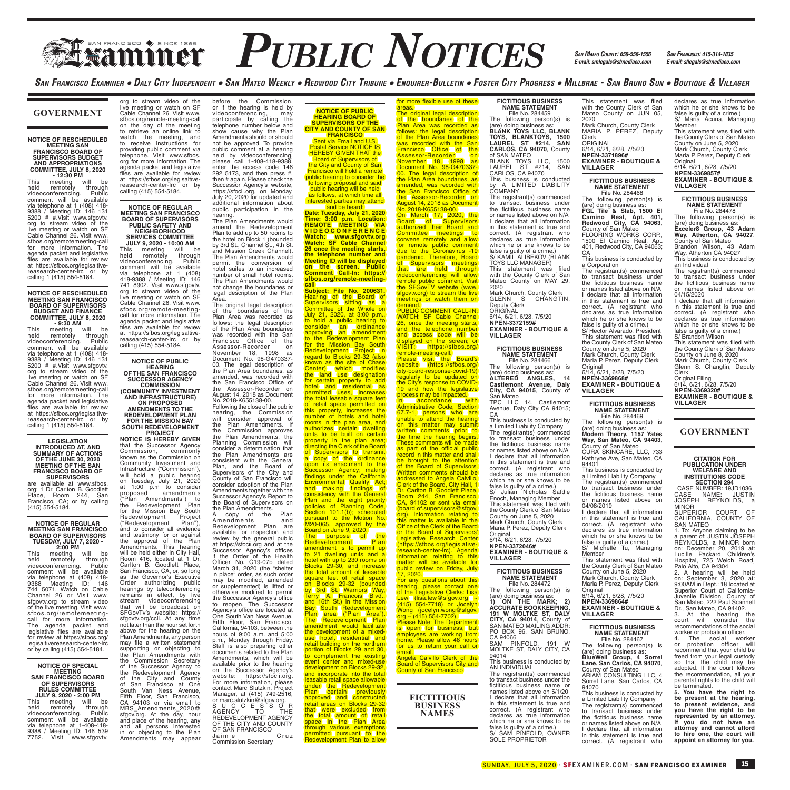# **FRANCISCO PUBLIC NOTICES** *SAN MATEO COUNTY. 650-556-1556 SAN FRANCISCO: 415-314-1835*

before the Commission,<br>or if the hearing is held by<br>videoconferencing, may<br>participate by calling the<br>telephone number below and

show cause why the Plan Amendments should or should not be approved. To provide public comment at a hearing held by videoconferencing, please call 1-408-418-9388, enter the access code 146 292 5173, and then press #, then # again. Please check the Successor Agency's website, https://sfocii.org, on Monday, July 20, 2020 for updated and additional information about public participation in the hearing. The Plan Amendments would amend the Redevelopment Plan to add up to 50 rooms to the hotel on Block 1 (bounded by 3rd St., Channel St., 4th St. and Mission Creek Channel). The Plan Amendments would permit the conversion of hotel suites to an increased number of small hotel rooms. The Plan Amendments would not change the boundaries or legal description of the Plan<br>Area

Area.<br>The original legal description<br>Plan Area was recorded as<br>follows: the legal description<br>of the Plan Area boundaries<br>was recorded with the San<br>Francisco Office of the

Assessor-Recorder on November 18, 1998 as Document No. 98-G470337-

00. The legal description of the Plan Area boundaries, as amended, was recorded with the San Francisco Office of the Assessor-Recorder on August 14, 2018 as Document No. 2018-K655138-00. Following the close of the public hearing, the Commission will consider approval of the Plan Amendments. If<br>the Commission approves the Commission approves the Plan Amendments, the Planning Commission will consider a determination that<br>the Plan Amendments are the Plan Amendments are consistent with the General Plan, and the Board of Supervisors of the City and County of San Francisco will consider adoption of the Plan Amendments together with the Successor Agency's Report to the Board of Supervisors on the Plan Amendments. A copy of the Plan<br>Amendments and Amendments and Redevelopment Plan are available for inspection and review by the general public at https://sfocii.org and at the Successor Agency's offices if the Order of the Health Officer No. C19-07b dated March 31, 2020 (the "shelter in place" order, as such order may be modified, amended or supplemented) is lifted or otherwise modified to permit the Successor Agency's office to reopen. The Successor Agency's office are located at One South Van Ness Avenue, Fifth Floor, San Francisco, California, 94103, between the hours of 9:00 a.m. and 5:00 p.m., Monday through Friday. Staff is also preparing other documents related to the Plan Amendments, which will be available prior to the hearing on the Successor Agency's website: https://sfocii.org. For more information, please contact Marc Slutzkin, Project Manager, at (415) 749-2516,

or marc.slutzkin@sfgov.org. S U C C E S S O R AGENCY TO THE

REDEVELOPMENT AGENCY OF THE CITY AND COUNTY OF SAN FRANCISCO J a i m i e C r u z ......<br>mmission Secretary

*SAN MATEO COUNTY: 650-556-1556 E-mail: smlegals@sfmediaco.com*

SAN FRANCISCO EXAMINER . DALY CITY INDEPENDENT . SAN MATEO WEEKLY . REDWOOD CITY TRIBUNE . ENQUIRER-BULLETIN . FOSTER CITY PROGRESS . MILLBRAE - SAN BRUNO SUN . BOUTIQUE & VILLAGER

#### **GOVERNMENT**

#### **NOTICE OF RESCHEDULED MEETING SAN FRANCISCO BOARD OF SUPERVISORS BUDGET AND APPROPRIATIONS COMMITTEE, JULY 8, 2020**

**- 12:30 PM**  This meeting will be held remotely through videoconferencing. Public comment will be available via telephone at 1 (408) 418- 9388 / Meeting ID: 146 131 5200 # #.Visit www.sfgovtv. org to stream video of the live meeting or watch on SF Cable Channel 26. Visit www. sfbos.org/remotemeeting-call for more information. The agenda packet and legislative files are available for review at https://sfbos.org/legisaltivereasearch-center-lrc or by<br>calling 1 (415) 554-5184.

#### **NOTICE OF RESCHEDULED MEETING SAN FRANCISCO BOARD OF SUPERVISORS BUDGET AND FINANCE COMMITTEE, JULY 8, 2020 - 9:30 AM**

This neeting will be<br>held remotely through<br>videoconferencing. Public held remotely through<br>
videoconferencing. Public<br>
comment will be available<br>
via telephone at 1 (408) 418-<br>
9388 / Meeting ID: 146 131<br>
5200 # #.Visit www.sfgovtv.<br>
org to stream video of the live meeting or watch on SF Cable Channel 26. Visit www. sfbos.org/remotemeeting-call for more information. The agenda packet and legislative files are available for review at https://sfbos.org/legisaltive-reasearch-center-lrc or by calling 1 (415) 554-5184.

#### **LEGISLATION INTRODUCED AT, AND SUMMARY OF ACTIONS OF THE JUNE 30, 2020 MEETING OF THE SAN FRANCISCO BOARD OF**

**SUPERVISORS** are available at www.sfbos. org; 1 Dr. Carlton B. Goodlett Place, Room 244, San Francisco, CA; or by calling (415) 554-5184.

## **NOTICE OF REGULAR MEETING SAN FRANCISCO BOARD OF SUPERVISORS TUESDAY, JULY 7, 2020 - 2:00 PM**

This meeting will be held remotely through videoconferencing. Public comment will be available via telephone at (408) 418- 9388 Meeting ID: 146 744 5071. Watch on Cable Channel 26 or Visit www. sfgovtv.org to stream video of the live meeting. Visit www. sfbos.org/remotemeetingcall for more information.<br>The agenda packet and The agenda packet and legislative files are available for review at https://sfbos.org/ legisaltivereasearch-center-lrc or by calling (415) 554-5184.

#### **NOTICE OF SPECIAL MEETING SAN FRANCISCO BOARD OF SUPERVISORS**

**RULES COMMITTEE JULY 9, 2020 - 2:00 PM**<br>is meeting will be This meeting<br>held remotely held remotely through videoconferencing. Public comment will be available via telephone at 1-408-418- 9388 / Meeting ID: 146 539 7752. Visit www.sfgovtv.

org to stream video of the live meeting or watch on SF Cable Channel 26. Visit www. sfbos.org/remote-meeting-call on the day of the meeting to retrieve an online link to watch the meeting, and to receive instructions for providing public comment via telephone. Visit www.sfbos. org for more information. The agenda packet and legislative files are available for review at https://sfbos.org/legisaltivereasearch-center-lrc or by<br>calling (415) 554-5184.

## **NOTICE OF REGULAR MEETING SAN FRANCISCO BOARD OF SUPERVISORS**

**PUBLIC SAFETY AND NEIGHBORHOOD SERVICES COMMITTEE JULY 9, 2020 - 10:00 AM** This meeting will be held remotely through videoconferencing. Public comment will be available via telephone at 1 (408) 418-9388 / Meeting ID: 146 741 8902. Visit www.sfgovtv. org to stream video of the live meeting or watch on SF Cable Channel 26. Visit www. sfbos.org/remote-meetingcall for more information. The agenda packet and legislative files are available for review at https://sfbos.org/legisaltive-reasearch-center-lrc or by calling (415) 554-5184.

**NOTICE OF PUBLIC HEARING OF THE SAN FRANCISCO** 

**SUCCESSOR AGENCY COMMISSION (COMMUNITY INVESTMENT AND INFRASTRUCTURE) ON PROPOSED AMENDMENTS TO THE** 

## **REDEVELOPMENT PLAN FOR THE MISSION BAY SOUTH REDEVELOPMENT**

**PROJECT<br>NOTICE IS HEREBY GIVEN**<br>that the Successor Agency Commission, commonly known as the Commission on Community Investment and Infrastructure ("Commission"), will hold a public hearing on Tuesday, July 21, 2020 at 1:00 p.m to consider proposed amendments ("Plan Amendments") to the Redevelopment Plan for the Mission Bay South Redevelopment Project ("Redevelopment Plan"), and to consider all evidence and testimony for or against the approval of the Plan Amendments. This hearing will be held either in City Hall, Room 416, located at 1 Dr. Carlton B. Goodlett Place, San Francisco, CA, or, so long as the Governor's Executive Order authorizing public hearings by teleconferencing remains in effect, by live stream videoconferencing that will be broadcast on SFGovTv's website: https:// sfgovtv.org/ccii. At any time not later than the hour set forth above for the hearing on the Plan Amendments, any person may file a written statement supporting or objecting to the Plan Amendments with the Commission Secretary of the Successor Agency to the Redevelopment Agency of the City and County of San Francisco at One South Van Ness Avenue, Fifth Floor, San Francisco, CA 94103 or via email to MBS\_Amendments\_2020@ sfgov.org. At the day, hour and place of the hearing, any and all persons interested in or objecting to the Plan Amendments may appear

**NOTICE OF PUBLIC HEARING BOARD OF SUPERVISORS OF THE CITY AND COUNTY OF SAN** 

**FRANCISCO**<br>
Sent via Email and U.S.<br>
Postal Service NOTICE IS<br>
HEREBY GIVEN THAT the<br>
Board of Supervisors of<br>
the City and County of San<br>
Francisco will hold a remote<br>
public hearing to consider the following proposal and said<br>[public hearing will be held]<br>as follows, at which time all] interested parties may attend

and be heard:<br> **Date: Tuesday, July 21, 2020**<br> **Time: 3:00 p.m. Location:<br>
REMOTE MEETING VIA<br>
VIDEOCONFERENCE<br>
Watch: SF Cable Channel<br>
Watch: SF Cable Channel 26 once the meeting starts, the telephone number and Meeting ID will be displayed on the screen. Public Comment Call-In: https:// sfbos.org/remote-meeting-**

**call Subject: File No. 200631.** Hearing of the Board of<br>Supervisors sitting as a<br>Committee of the Whole on July 21, 2020, at 3:00 p.m., to hold a public hearing to consider an ordinance approving an amendment to the Redevelopment Plan for the Mission Bay South Redevelopment Project in regard to Blocks 29-32 (also known as the site of Chase<br>Center) which modifies<br>the land use designation for certain property to add<br>hotel (and residential as<br>permitted uses, increases<br>the total leasable square feet of retail space permitted on this property, increases the number of hotels and hotel rooms in the plan area, and<br>authorizes Locritain Idwelling<br>units to be built on certain<br>units to be built on certain<br>directing the Clerk of the Board<br>directing the Clerk of the Board<br>of Supervisors to Italiance<br>upon its en pursuant to the Motion No.<br>M20-065, approved by the<br>Board on June 9, 2020.<br>The purpose of the<br>Redevelopment Plan<br>amendment is to permit up to 21 dwelling units and a<br>hotel with up to 230 rooms on<br>Blocks 29-30, and increase<br>the total amount of leasable<br>square feet of retail space<br>on Blocks 29-32 (bounded<br>by 3rd St, Warriors Way,<br>Terry A. Francois Blvd.,<br>and 16 Bay South Redevelopment<br>Plan area ("Plan Area").<br>The Redevelopment Plan amendment would facilitate<br>the development of a mixed-<br>use hotel, residential and retail building on the northern portion of Blocks 29 and 30, to complement the existing event center and mixed-use<br>development on Blocks 29-32 development on Blocks 29-32,<br>and incorporate into the total<br>leasable retail space allowable<br>Plan Certain previously<br>Plan Certain previously<br>approved and Constructed<br>that were excluded from<br>the total amount of retail<br>space

permitted pursuant to the<br>Redevelopment Plan to allow

**NAMES**

for more flexible use of these **FICTITIOUS BUSINESS NAME STATEMENT**

File No. 284459 The following person(s) is<br>(are) doing business as: (are) doing business as:<br>**BLANK TOYS LLC, BLANK<br><b>TOYS, BLANKTOYS, 1500<br>LAUREL ST #214, SAN<br>CARLOS, CA 94070, County<br>of SAN MATEO<br>BLANK TOYS LLC, 1500** LAUREL ST #214, SAN CARLOS, CA 94070 This business is conducted by A LIMITED LIABILITY COMPANY

The registrant(s) commenced to transact business under the fictitious business name or names listed above on N/A I declare that all information in this statement is true and correct. (A registrant who declares as true information which he or she knows to be false is quilty of a crime.) S/ KAMIL ALIBEKOV (BLANK

TOYS LLC MANAGER) This statement was filed with the County Clerk of San Mateo County on MAY 29, 2020 **Mark Church, County Clerk<br>GLENN S CHANGTIN.** 

GLENN S CHANGTIN,<br>Deputy Clerk<br>ORIGINAL<br>6/14, 6/21, 6/28, 7/5/20<br>**NPEN-3372159# EXAMINER - BOUTIQUE & VILLAGER**

#### **FICTITIOUS BUSINESS NAME STATEMENT**

File No. 284466 The following person(s) is (are) doing business as: **ALTERED ANGLES, 14 Castlemont Avenue, Daly City, CA 94015**, County of

San Mateo TPC LLC 14, Castlemont Avenue, Daly City CA 94015; CA

This business is conducted by a Limited Liability Company The registrant(s) commenced to transact business under the fictitious business name or names listed above on N/A I declare that all information in this statement is true and correct. (A registrant who declares as true information which he or she knows to be false is guilty of a crime.) S/ Julian Nicholas Safdie Enoch, Managing Member This statement was filed with the County Clerk of San Mateo County on June 5, 2020 Mark Church, County Clerk Maria P. Perez, Deputy Clerk Original 6/14, 6/21, 6/28, 7/5/20

**NPEN-3372046# EXAMINER - BOUTIQUE & VILLAGER**

### **FICTITIOUS BUSINESS NAME STATEMENT**

File No. 284472 The following person(s) is (are) doing business as: **1) ON THE MARK; 2) ACCURATE BOOKKEEPING, 191 W MOLTKE ST, DALY CITY, CA 94014**, County of SAN MATEO MAILING ADDR: PO BOX 96, SAN BRUNO,<br>CA 94066<br>SAM PINFOLD, 191 W MOLTKE ST, DALY CITY, CA

94014 This business is conducted by AN INDIVIDUAL The registrant(s) commenced to transact business under the fictitious business name or names listed above on 5/1/20 I declare that all information in this statement is true and correct. (A registrant who declares as true information which he or she knows to be false is guilty of a crime.) S/ SAM PINFOLD, OWNER SOLE PROPRIETOR

This statement was filed with the County Clerk of San Mateo County on JUN 05, 2020 Mark Church, County Clerk Mark Charon, County Clone<br>MARIA P. PEREZ, Deputy Clerk ORIGINAL 6/14, 6/21, 6/28, 7/5/20 **NPEN-3371896# EXAMINER - BOUTIQUE & VILLAGER FICTITIOUS BUSINESS NAME STATEMENT** File No. 284468 declares as true information which he or she knows to be false is guilty of a crime.) S/ Maria Acuna, Managing Member This statement was filed with the County Clerk of San Mateo County on June 5, 2020 Mark Church, County Clerk Maria P. Perez, Deputy Clerk Original 6/14, 6/21, 6/28, 7/5/20 **NPEN-3369857# EXAMINER - BOUTIQUE & VILLAGER**

a Corporation The registrant(s) commenced to transact business under the fictitious business name

or names listed above on N/A I declare that all information in this statement is true and correct. (A registrant who declares as true information which he or she knows to be false is guilty of a crime.) S/ Hector Alvarado, President This statement was filed with the County Clerk of San Mateo County on June 5, 2020 Mark Church, County Clerk Maria P. Perez, Deputy Clerk Original 6/14, 6/21, 6/28, 7/5/20 **NPEN-3369868# EXAMINER - BOUTIQUE &** 

**FICTITIOUS BUSINESS NAME STATEMENT**<br>File No. 284469<br>The following person(s) is

(are) doing business as:<br>**Modern Theory, 1157 Yates<br>Way, San Mateo, CA 94403,**<br>County of San Mateo County of San Mateo<br>CURA SKINCARE, LLC, 733 Kathryne Ave, San Mateo, CA

This business is conducted by a Limited Liability Company The registrant(s) commenced to transact business under the fictitious business name or names listed above on 04/08/2019 I declare that all information in this statement is true and correct. (A registrant who declares as true information which he or she knows to be false is guilty of a crime.) S/ Michelle Tu, Managing

This statement was filed with

**FICTITIOUS BUSINESS NAME STATEMENT** File No. 284467 The following person(s) is (are) doing business as:

**BlueWell Group, 4 Sorrel Lane, San Carlos, CA 94070**, County of San Mateo ARIAM CONSULTING LLC, 4 Sorrel Lane, San Carlos, CA 94070 This business is conducted by a Limited Liability Company The registrant(s) commenced to transact business under the fictitious business name or names listed above on N/A I declare that all information in this statement is true and correct. (A registrant who

Mark Church, County Clerk Maria P. Perez, Deputy Clerk Original 6/14, 6/21, 6/28, 7/5/20 **NPEN-3369864# EXAMINER - BOUTIQUE &** 

**VILLAGER**

94401

Member

**VILLAGER**

**FICTITIOUS BUSINESS NAME STATEMENT** File No. 284478

The following person(s) is<br>
(are) doing business as:<br> **FGL Tile & Slab, 1500 El<br>
Camino Real, Apt. 401,<br>
<b>Redwood City, CA 94063**,<br>
County of San Mateo<br>
FLOORING WORKS CORP,<br>
FLOORING WORKS CORP,<br>
1500 El Camino Real, Apt. 401, Redwood City, CA 94063; CA This business is conducted by The following person(s) is<br>(are) doing business as:<br>**Exceler8 Group, 43 Adam<br>Way, Atherton, CA 94027,**<br>County of San Mateo<br>Brandon Wilson, 43 Adam

Way, Atherton CA 94027 This business is conducted by an Individual The registrant(s) commenced

to transact business under the fictitious business name or names listed above on 04/15/2020 I declare that all information

in this statement is true and correct. (A registrant who declares as true information which he or she knows to be false is guilty of a crime.) S/ Brandon Wilson This statement was filed with the County Clerk of San Mateo

County on June 8, 2020 Mark Church, County Clerk Glenn S. Changtin, Deputy

Clerk Original Filing 6/14, 6/21, 6/28, 7/5/20 **NPEN-3369320# EXAMINER - BOUTIQUE & VILLAGER**

**GOVERNMENT**

## **CITATION FOR<br>PUBLICATION UNDER PUBLICATION UNDER WELFARE AND INSTITUTIONS CODE SECTION 294**

CASE NUMBER: 19JD1036 CASE NAME: JUSTIN JOSEPH REYNOLDS, a MINOR

SUPERIOR COURT OF CALIFORNIA, COUNTY OF SAN MATEO

1. To: Anyone claiming to be a parent of: JUSTIN JOSEPH REYNOLDS, a MINOR born on: December 20, 2019 at: Lucille Packard Children's Hospital, 725 Welch Road, Palo Alto, CA 94304 2. A hearing will be held

the County Clerk of San Mateo County on June 5, 2020 on: September 3, 2020 at: 9:00AM in Dept.: 18 located at Superior Court of California-Juvenile Division, County of San Mateo, 222 Paul Scannell Dr., San Mateo, CA 94402.

3. At the hearing the court will consider the recommendations of the social worker or probation officer.

4. The social worker<br>or probation officer will or probation officer will recommend that your child be freed from your legal custody so that the child may be adopted. If the court follows the recommendation, all your parental rights to the child will be terminated.

**5. You have the right to be present at the hearing, to present evidence, and you have the right to be represented by an attorney. If you do not have an attorney and cannot afford to hire one, the court will appoint an attorney for you.**

## areas.<br>The original legal description<br>of the boundaries of the<br>Plan Area was recorded as follows: the legal description<br>of the Plan Area boundaries was recorded with the San

Francisco Office of the Assessor-Recorder on November 18, 1998 as Document No. 98-G470337- 00. The legal description of the Plan Area boundaries, as amended, was recorded with<br>the San Francisco Office of the Assessor-Recorder on<br>August 14, 2018 as Document<br>No. 2018-K655138-00.<br>No. 2018-K655138-00.<br>On March 17, 2020, the<br>Board of Supervisors<br>authorized their Board and Committee meetings to convene remotely and allow for remote public comment due to the Coronavirus -19 pandemic. Therefore, Board<br>of Supervisors meetings<br>that are held through videoconferencing will allow<br>remote public comment. Visit<br>the SFGovTV website (www.

sfgovtv.org) to stream the live<br>meetings or watch them on<br>demand.<br>PUBLIC COMMENT CALL-IN:<br>WATCH: SF Cable Channel

26, once the meeting starts,<br>and the telephone number<br>and accessi code (will be<br>displayed on the screen, or<br>VISIT: https://sfbos.org/<br>PIBase (with the Board's<br>website (https://sfbos.org/<br>website (https://sfbos.org/<br>website unable to attend the hearing<br>on this matter may submit<br>written comments prior to<br>the time the hearing begins.<br>These comments will be made<br>as part of the official public<br>record in this matter and shall be brought to the attention of the Board of Supervisors. Written comments should be

Room 244, San Francisco,<br>CA, 94102 or sent via email<br>(board.of.supervisors@sfgov.) org). Information relating to this matter is available in the Office of the Clerk of the Board or the Board of Supervisors' Legislative Research Center

public review on Friday, July<br>17, 2020. For any questions about this

**Please Note: The Department** 

for us to return your call or

Board of Supervisors City and<br>County of San Francisco

email.<br>Angela Calvillo Clerk of the

**FICTITIOUS BUSINESS** 

Wong (jocelyn.wong@sfgov. org ~ (415) 554-7702).

is Jopen for business, but<br>employees are working from<br>home. Please allow 48 hours

(https://sfbos.org/legislative-research-center-lrc). Agenda information relating to this matter will be available for

hearing, please contact one<br>of the Legislative Clerks: Lisa<br>Lew (lisa.lew@sfgov.org<br>(415) 554-7718) or Jocelyn

# addressed to Angela Calvillo,<br>Clerk of the Board, City Hall, 1<br>Dr. Carlton B. Goodlett Place,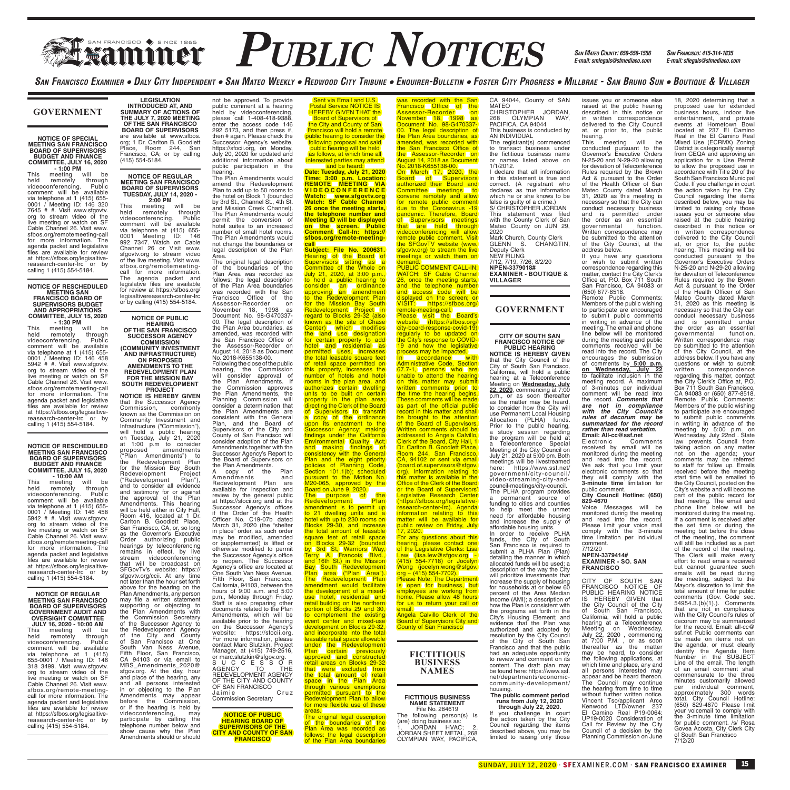## **FRANCISCO PUBLIC NOTICES** *SAN MATEO COUNTY. 650-556-1556 SAN FRANCISCO: 415-314-1835*

*SAN MATEO COUNTY: 650-556-1556 E-mail: smlegals@sfmediaco.com*

18, 2020 determining that a

SAN FRANCISCO EXAMINER • DALY CITY INDEPENDENT • SAN MATEO WEEKLY • REDWOOD CITY TRIBUNE • ENQUIRER-BULLETIN • FOSTER CITY PROGRESS • MILLBRAE - SAN BRUNO SUN • BOUTIQUE & VILLAGER

#### **GOVERNMENT**

## **NOTICE OF SPECIAL MEETING SAN FRANCISCO BOARD OF SUPERVISORS**

**BUDGET AND FINANCE COMMITTEE, JULY 16, 2020 - 1:00 PM** This meeting will be held remotely through videoconferencing. Public comment will be available via telephone at 1 (415) 655- 0001 / Meeting ID: 146 320 7645 # #. Visit www.sfgovtv. org to stream video of the live meeting or watch on SF Cable Channel 26. Visit www. sfbos.org/remotemeeting-call for more information. The agenda packet and legislative files are available for review at https://sfbos.org/legisaltivereasearch-center-lrc or by calling 1 (415) 554-5184.

## **NOTICE OF RESCHEDULED MEETING SAN FRANCISCO BOARD OF**

## **SUPERVISORS BUDGET AND APPROPRIATIONS COMMITTEE, JULY 15, 2020**

**- 1:30 PM**  This meeting will be held remotely through videoconferencing. Public comment will be available via telephone at 1 (415) 655- 0001 / Meeting ID: 146 458 5942 # #. Visit www.sfgovtv. org to stream video of the live meeting or watch on SF Cable Channel 26. Visit www. sfbos.org/remotemeeting-call for more information. The agenda packet and legislative files are available for review at https://sfbos.org/legisaltivereasearch-center-lrc or by calling 1 (415) 554-5184.

#### **NOTICE OF RESCHEDULED MEETING SAN FRANCISCO BOARD OF SUPERVISORS BUDGET AND FINANCE COMMITTEE, JULY 15, 2020**

**- 10:00 AM**  This meeting will be held remotely through videoconferencing. Public comment will be available via telephone at 1 (415) 655- 0001 / Meeting ID: 146 458 5942 # #. Visit www.sfgovtv. org to stream video of the live meeting or watch on SF Cable Channel 26. Visit www. sfbos.org/remotemeeting-call for more information. The agenda packet and legislative files are available for review at https://sfbos.org/legisaltivereasearch-center-lrc or by<br>calling 1 (415) 554-5184.

## **NOTICE OF REGULAR MEETING SAN FRANCISCO BOARD OF SUPERVISORS GOVERNMENT AUDIT AND OVERSIGHT COMMITTEE JULY 16, 2020 - 10:00 AM**

This meeting will be held remotely through videoconferencing. Public comment will be available via telephone at 1 (415) 655-0001 / Meeting ID: 146 318 3499. Visit www.sfgovtv. org to stream video of the live meeting or watch on SF Cable Channel 26. Visit www. sfbos.org/remote-meetingcall for more information. The agenda packet and legislative files are available for review at https://sfbos.org/legisaltivereasearch-center-lrc or by calling (415) 554-5184.

**LEGISLATION INTRODUCED AT, AND SUMMARY OF ACTIONS OF THE JULY 7, 2020 MEETING OF THE SAN FRANCISCO BOARD OF SUPERVISORS** are available at www.sfbos. org; 1 Dr. Carlton B. Goodlett Place, Room 244, San Francisco, CA; or by calling (415) 554-5184.

#### **NOTICE OF REGULAR MEETING SAN FRANCISCO BOARD OF SUPERVISORS TUESDAY, JULY 14, 2020 - 2:00 PM**

This meeting will be held remotely through videoconferencing. Public comment will be available via telephone at (415) 655- 0001 Meeting ID: 146 992 7347. Watch on Cable Channel 26 or Visit www. sfgovtv.org to stream video of the live meeting. Visit www. sfbos.org/remotemeetingcall for more information. The agenda packet and legislative files are available for review at https://sfbos.org/ legisaltivereasearch-center-lrc or by calling (415) 554-5184.

## **NOTICE OF PUBLIC HEARING OF THE SAN FRANCISCO**

**SUCCESSOR AGENCY COMMISSION (COMMUNITY INVESTMENT AND INFRASTRUCTURE)** 

#### **ON PROPOSED AMENDMENTS TO THE REDEVELOPMENT PLAN FOR THE MISSION BAY SOUTH REDEVELOPMENT**

**PROJECT NOTICE IS HEREBY GIVEN** that the Successor Agency Commission, commonly known as the Commission on Community Investment and<br>Infrastructure ("Commission"),<br>will hold a public hearing<br>on Tuesday, July 21, 2020<br>at 1:00 p.m to consider<br>proposed amendments ("Plan Amendments") to the Redevelopment Plan<br>for the Mission Bay South<br>Redevelopment Project<br>("Redevelopment Plan"),<br>and to consider all evidence and testimony for or against the approval of the Plan Amendments. This hearing will be held either in City Hall Room 416, located at 1 Dr. Carlton B. Goodlett Place, San Francisco, CA, or, so long as the Governor's Executive Order authorizing public hearings by teleconferencing remains in effect, by live stream videoconferencing that will be broadcast on SFGovTv's website: https:// sfgovtv.org/ccii. At any time not later than the hour set forth above for the hearing on the Plan Amendments, any person may file a written statement supporting or objecting to the Plan Amendments with the Commission Secretary of the Successor Agency to the Redevelopment Agency of the City and County of San Francisco at One South Van Ness Avenue, Fifth Floor, San Francisco, CA 94103 or via email to MBS\_Amendments\_2020@ sfgov.org. At the day, hour and place of the hearing, any and all persons interested in or objecting to the Plan Amendments may appear before the Commission, or if the hearing is held by videoconferencing, may participate by calling the telephone number below and show cause why the Plan Amendments should or should

not be approved. To provide public comment at a hearing held by videoconferencing, please call 1-408-418-9388, enter the access code 146 292 5173, and then press #, then # again. Please check the Successor Agency's website, https://sfocii.org, on Monday, July 20, 2020 for updated and additional information about public participation in the

hearing. The Plan Amendments would amend the Redevelopment Plan to add up to 50 rooms to the hotel on Block 1 (bounded by 3rd St., Channel St., 4th St. and Mission Creek Channel). The Plan Amendments would permit the conversion of hotel suites to an increased number of small hotel rooms. The Plan Amendments would not change the boundaries or legal description of the Plan Area.

The original legal description of the boundaries of the Plan Area was recorded as follows: the legal description of the Plan Area boundaries was recorded with the San Francisco Office of the Assessor-Recorder on<br>November 18, 1998 as November 18, 1998 as Document No. 98-G470337- 00. The legal description of the Plan Area boundaries, as

#### amended, was recorded with the San Francisco Office of the Assessor-Recorder on August 14, 2018 as Document

No. 2018-K655138-00. Following the close of the public hearing, the Commission<br>will consider approval of<br>the Plan Amendments. If will consider approval of the Plan Amendments. If the Commission approves the Plan Amendments, the Planning Commission will consider a determination that the Plan Amendments are consistent with the General Plan, and the Board of Supervisors of the City and County of San Francisco will consider adoption of the Plan Amendments together with the Successor Agency's Report to the Board of Supervisors on the Plan Amendments. A copy of the Plan<br>Amendments and Amendments and Redevelopment Plan are available for inspection and review by the general public at https://sfocii.org and at the Successor Agency's offices if the Order of the Health Officer No. C19-07b dated

March 31, 2020 (the "shelter in place" order, as such order may be modified, amended or supplemented) is lifted or otherwise modified to permit the Successor Agency's office to reopen. The Successor Agency's office are located at One South Van Ness Avenue, Fifth Floor, San Francisco, California, 94103, between the hours of 9:00 a.m. and 5:00 p.m., Monday through Friday. Staff is also preparing other documents related to the Plan Amendments, which will be available prior to the hearing on the Successor Agency's website: https://sfocii.org. For more information, please contact Marc Slutzkin, Project Manager, at (415) 749-2516, or marc.slutzkin@sfgov.org. S U C C E S S O R AGENCY TO THE REDEVELOPMENT AGENCY OF THE CITY AND COUNTY OF SAN FRANCISCO

Jaimie Cruz Commission Secretary

**NOTICE OF PUBLIC HEARING BOARD OF SUPERVISORS OF THE CITY AND COUNTY OF SAN FRANCISCO** 

Sent via Email and U. Postal Service NOTICE IS<br>HEREBY GIVEN THAT the **Board of Supervisors of Board of Supervisors**<br><mark>the City and County of San</mark><br>Francisco will hold a remote public hearing to consider the following proposal and said public hearing will be held as follows, at which time all

interested parties may attend<br>
and be heard:<br> **Date: Tuesday, July 21, 2020**<br> **REMOTE MEETING VIA<br>
REMOTE MEETING VIA<br>
VIDEO CONFERENCE Watch: www.sfgovtv.org Watch: SF Cable Channel 26 once the meeting starts, the telephone number and Meeting ID will be displayed on the screen. Public Comment Call-In: https:// sfbos.org/remote-meeting-**

**Call Subject: File No. 200631.**<br> **Subject: File No. 200631.**<br>
Supervisors sitting as a<br>
Committee of the Whole on<br>
July 21, 2020, at 3:00 p.m.,<br>
to hold a public hearing to consider (an ordinance)<br>approving an amendment<br>to the Redevelopment Plan for the Mission Bay South<br>Redevelopment Project in regard to Blocks 29-32 (also<br>Center) which modifies<br>Center) which modifies<br>for certain property to add<br>for certain property to add<br>hotel and residential as<br>permitted uses, increases<br>the total lease permitted on<br>this proper upon its enactment to the<br>Successor Agency; making<br>findings under the California Environmental Quality Act;<br>and making findings of the scheme of<br>consistency with the General<br>Plan and the eight profession<br>Plan and the eight to 21 dwelling units and a hotel with up to 230 rooms on Blocks 29-30, and increase<br>the total amount of leasable<br>square feet of retail space<br>on Blocks 29-32 (bounded<br>by 3rd St, Warriors Way, Terry A. Francois Blvd.,<br>Bay South Redevelopment<br>Plan area ("Plan Area").<br>The Redevelopment Plan<br>amendment would facilitate<br>amendment would facilitate<br>the development of a mixeduse hotel, residential and retail building on the northern portion of Blocks 29 and 30, to complement the existing event center and mixed-use development on Blocks 29-32,<br>and incorporate into the total<br>leasable retail space allowable<br>punder the Redevelopment<br>Plan certain previously<br>approved and constructed<br>that were excluded from<br>the total amount of retail<br>space

areas.<br>The original legal description of the boundaries of the<br>Plan Area was recorded as<br>follows: the legal description<br>of the Plan Area boundaries

vas recorded with the San<br>Franciscol Officel of the **Francisco** Office<br>Assessor-Recorder Assessor-Recorder on<br>November 18, 1998 as<br>Document No. 98-G470337-<br>00. The legal description of the Plan Area boundaries, as amended, was recorded with the San Francisco Office of

the Assessor-Recorder on<br>August 14, 2018 as Document<br>No. 2018-K655138-00.<br>Don March 17, 2020, the<br>Board of Supervisors<br>authorized their Board and<br>committee meetings to<br>commite meetings to<br>for remote public comment<br>pandemic remote public comment. Visit<br>the SFGovTV website (www. the SFGovTV website (www.<br>sfgovtv.org) to stream the live<br>demand.<br>PUBLIC COMMENT CALL-IN:<br>WATCH: SF Cable Channel<br>WATCH: SF Cable Channel<br>26, once the meeting starts,

## and the telephone Tunnber<br>and access code will be<br>displayed on the screen; or<br>remote-meeting-call.<br>Please wist the Board's<br>website (the Board's<br>website (the Board's website (the Side of the City-board-response-covid-19)<br>th unable to attend the hearing<br>on this matter may submit<br>written comments prior to the time the hearing begins. These comments will be made as part of the official public record in this matter and shall be brought to the attention of the Board of Supervisors. Written comments should be addressed to Angela Calvillo, Clerk of the Board, City Hall, 1 Dr. Carlton B. Goodlett Place,<br>Room 244, San Francisco,<br>CA, 94102 or sent via email (board.of.supervisors@sfgov. org). Information relating to this matter is available in the Office of the Clerk of the Board or the Board of Supervisors'<br>Legislative Research Center

(https://sfbos.org/legislative-research-center-lrc). Agenda information relating to this matter will be available for public review on Friday, July 17, 2020. **T7, 2020.**<br>For any questions about this hearing, please contact one<br>of the Legislative Clerks: Lisa<br>Lew (lisa.lew@sfgov.org) ~<br>(415) 554-7718) or Jocelyn Wong (jocelyn.wong@sfgov. org ~ (415) 554-7702).

Please Note: The Department is open for business, but employees are working from home. Please allow 48 hours<br>for us to return your call or

email. Angela Calvillo Clerk of the Board of Supervisors City and County of San Francisco

#### **FICTITIOUS BUSINESS NAMES**

## **FICTITIOUS BUSINESS NAME STATEMENT**

File No. 284619 The following person(s) is (are) doing business as: 1. JORDAN HVAC; 2. JORDAN SHEET METAL, 268 OLYMPIAN WAY, PACIFICA,

CA 94044, County of SAN MATEO CHRISTOPHER JORDAN, 268 OLYMPIAN WAY, PACIFICA, CA 94044 This business is conducted by

AN INDIVIDUAL The registrant(s) commenced to transact business under the fictitious business name or names listed above on 1/1/2012.

ITIZUTZ.<br>I declare that all information in this statement is true and correct. (A registrant who declares as true information which he or she knows to be false is guilty of a crime.) S/ CHRISTOPHER JORDAN This statement was filed with the County Clerk of San Mateo County on JUN 29, 2020 Mark Church, County Clerk GLENN S. CHANGTIN, Deputy Clerk NEW FILING 7/12, 7/19, 7/26, 8/2/20

**NPEN-3379018# EXAMINER - BOUTIQUE & VILLAGER**

#### **GOVERNMENT**

#### **CITY OF SOUTH SAN FRANCISCO NOTICE OF PUBLIC HEARING**

**NOTICE IS HEREBY GIVEN** that the City Council of the City of South San Francisco, California, will hold a public hearting at a Teleconference<br>
Meeting on Wednesday, July<br> **22, 2020**, commencing at 7:00<br>
p.m., or as soon thereafter<br>
as the matter may be heard,<br>
to consider how the City will<br>
use Permanent Local Housing Allocation (PLHA) funds. Prior to the public hearing, a study session regarding the program will be held at a Teleconference Special Meeting of the City Council on July 21, 2020 at 5:00 pm. Both meetings will be livestreamed here: https://www.ssf.net/ government/city-council/ video-streaming-city-andcouncil-meetings/city-council. The PLHA program provides a permanent source of funding to cities and counties

to help meet the unmet need for affordable housing and increase the supply of affordable housing units. In order to receive PLHA funds, the City of South San Francisco is required to submit a PLHA Plan (Plan) detailing the manner in which allocated funds will be used; a description of the way the City will prioritize investments that increase the supply of housing for households at or below 60 percent of the Area Median Income (AMI); a description of<br>how the Plan is consistent with<br>the programs set forth in the<br>city's Housing Element; and<br>evidence that the Plan was<br>authorized and adopted by resolution by the City Council of the City of South San Francisco and that the public had an adequate opportunity to review and comment on its content. The draft plan may be found here: https://www.ssf. net/departments/economiccommunity-development/

## housing. **The public comment period runs from July 12, 2020**

**through July 22, 2020.** If you challenge in court the action taken by the City Council regarding the items described above, you may be limited to raising only those

issues you or someone else raised at the public hearing described in this notice or in written correspondence delivered to the City Council at, or prior to, the public

hearing. This meeting will be conducted pursuant to the Governor's Executive Orders N-25-20 and N-29-20 allowing for deviation of Teleconference Rules required by the Brown Act & pursuant to the Order of the Health Officer of San Mateo County dated March 31, 2020 as this meeting is necessary so that the City can conduct necessary business and is permitted under the order as an essential governmental function. Written correspondence may be submitted to the attention<br>address below.<br>address below.<br>If you have any questions<br>or wish to submit written

correspondence regarding this matter, contact the City Clerk's Office at, P.O. Box 711 South

San Francisco, CA 94083 or (650) 877-8518. Remote Public Comments: Members of the public wishing to participate are encouraged to submit public comments in writing in advance of the meeting. The email and phone line below will be monitored during the meeting and public comments received will be<br>read into the record The City read into the record. The City<br>encourages the submission<br>on Wednesday, July 22<br>to facilitate inclusion in the<br>meeting record. A maximum<br>of 3-minutes per individual comment will be read into the record. *Comments that are not in compliance with the City Council's rules of decorum may be summarized for the record rather than read verbatim.* **Email: All-cc@ssf.net**

Electronic Comments received by email will be monitored during the meeting and read into the record. We ask that you limit your electronic comments so that they will comply with the **3-minute time** limitation for public comment. **City Council Hotline: (650) 829-4670**

Voice Messages will be monitored during the meeting and read into the record. Please limit your voice mail comply with the 3-minute time limitation per individual comment. 7/12/20

**NPEN-3379414# EXAMINER - SO. SAN FRANCISCO**

CITY OF SOUTH SAN FRANCISCO NOTICE OF PUBLIC HEARING NOTICE IS HEREBY GIVEN that the City Council of the City of South San Francisco, California, will hold a public hearing at a Teleconference Meeting on Wednesday, July 22, 2020 , commencing at 7:00 P.M. , or as soon thereafter as the matter may be heard, to consider the following applications, at which time and place, any and all persons interested may appear and be heard thereon. The Council may continue<br>the hearing from time to time<br>without further written notice.<br>Vincent Tso/applicant Arco<br>Kenwood LTD/owner 237<br>El Camino Real P19-0064: UP19-0020 Consideration of Call for Review by the City Council of a decision by the Planning Commission on June

proposed use for extended business hours, indoor live entertainment, and private events at Hometown Bowl located at 237 El Camino Real in the El Camino Real Mixed Use (ECRMX) Zoning District is categorically exempt from CEQA and approving an application for a Use Permit to allow the proposed use in accordance with Title 20 of the South San Francisco Municipal Code. If you challenge in court the action taken by the City Council regarding the items described below, you may be limited to raising only those issues you or someone else<br>raised at the public hearing<br>described in this notice or<br>in written correspondence<br>delivered to the City Council<br>at, or prior to, the public<br>hearing. This meeting will be<br>conducted pursuant to th N-25-20 and N-29-20 allowing for deviation of Teleconference Rules required by the Brown Act & pursuant to the Order of the Health Officer of San Mateo County dated March 31, 2020 as this meeting is necessary so that the City can conduct necessary business and is permitted under the order as an essential governmental function. Written correspondence may be submitted to the attention of the City Council, at the address below. If you have any questions or wish to submit<br>written correspondence written correspondence regarding this matter, contact the City Clerk's Office at, P.O. Box 711 South San Francisco, CA 94083 or (650) 877-8518. Remote Public Comments: Members of the public wishing to participate are encouraged to submit public comments in writing in advance of the meeting by 5:00 p.m. on Wednesday, July 22nd . State law prevents Council from taking action on any matter not on the agenda; your comments may be referred to staff for follow up. Emails received before the meeting start time will be emailed to<br>the City Council, posted on the the City's website and will become<br>part of the public record for<br>that meeting. The email and<br>phone line below will be<br>monitored during the meeting.<br>If a comment is received after the set time or during the meeting but before the close of the meeting, the comment will still be included as a part of the record of the meeting. The Clerk will make every effort to read emails received but cannot guarantee such emails will be read during the meeting, subject to the Mayor's discretion to limit the total amount of time for public comments (Gov. Code sec. 54954.3.(b)(1).). Comments that are not in compliance with the City Council's rules of decorum may be summarized for the record. Email: all-cc@ ssf.net Public comments can be made on items not on the agenda, or must clearly identify the Agenda Item Number in the SUBJECT Line of the email. The length of an email comment shall commensurate to the three minutes customarily allowed per individual comment, approximately 300 words total. City Council Hotline: (650) 829-4670 Please limit your voicemail to comply with the 3-minute time limitation for public comment. /s/ Rosa Govea Acosta, City Clerk City of South San Francisco 7/12/20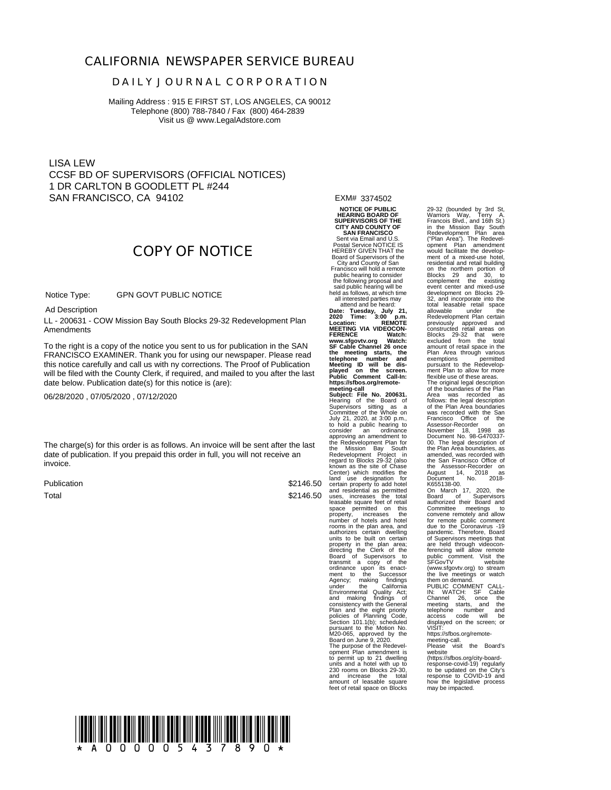#### **CALIFORNIA NEWSPAPER SERVICE BUREAU**

#### **D A I L Y J O U R N A L C O R P O R A T I O N**

Mailing Address : 915 E FIRST ST, LOS ANGELES, CA 90012 Telephone (800) 788-7840 / Fax (800) 464-2839 Visit us @ www.LegalAdstore.com

LISA LEW CCSF BD OF SUPERVISORS (OFFICIAL NOTICES) 1 DR CARLTON B GOODLETT PL #244 SAN FRANCISCO, CA 94102

**COPY OF NOTICE**

 GPN GOVT PUBLIC NOTICE Notice Type:

Ad Description

 LL - 200631 - COW Mission Bay South Blocks 29-32 Redevelopment Plan Amendments

FRANCISCO EXAMINER. Thank you for using our newspaper. Please read<br>this notice carefully and call us with ny corrections. The Proof of Publication To the right is a copy of the notice you sent to us for publication in the SAN FRANCISCO EXAMINER. Thank you for using our newspaper. Please read will be filed with the County Clerk, if required, and mailed to you after the last date below. Publication date(s) for this notice is (are):

06/28/2020 , 07/05/2020 , 07/12/2020

The charge(s) for this order is as follows. An invoice will be sent after the last date of publication. If you prepaid this order in full, you will not receive an invoice.

Publication Total

\$2146.50  $$2146.50$  uses,

**NOTICE OF PUBLIC HEARING BOARD OF SUPERVISORS OF THE CITY AND COUNTY OF SAN FRANCISCO** Sent via Email and U.S. Postal Service NOTICE IS HEREBY GIVEN THAT the Board of Supervisors of the City and County of San Francisco will hold a remote public hearing to consider the following proposal and said public hearing will be held as follows, at which time

EXM# 3374502

all interested parties may attend and be heard: Date: Tuesday, July 21,<br>2020 Time: 3:00 p.m.<br>Location: REMOTE<br>MEETING VIA VIDEOCON-<br>FERENCE Watch:<br>www.sfgovtv.org Watch: **FERENCE** watch:<br>www.sfgovtv.org Watch:<br>SF Cable Channel 26 once the meeting starts, the<br>telephone number and<br>Meeting ID will be dis-<br>played on the screen.<br>Public Comment Call-In:<br>https://sfbos.org/remotemeeting-call<br>Subject: File No. 200631.<br>Hearing of the Board of<br>Supervisors sitting as a<br>Committee of the Whole on<br>July 21, 2020, at 3:00 p.m.,<br>ton hol a public hearing to<br>consider an ordinance approving an amendment to the Redevelopment Plan for the Mission Bay Southern Horizontal Readevelopment Project in<br>Redevelopment Project in<br>regard to Blocks 29-32 (also<br>Center) which modifies the<br>Center) which modifies the comparison for<br>certain property to add notel<br>and res

being the right and and a hotel with up to the with up to 230 rooms on Blocks 29-30, and increase the total amount of leasable square feet of retail space on Blocks

29-32 (bounded by 3rd St, Warriors Way, Terry A. Francois Blvd., and 16th St.) in the Mission Bay South Redevelopment Plan area ("Plan Area"). The Redevel-<br>opment Plan amendment<br>would facilitate the develop-<br>ment of a mixed-use hotel,<br>residential and retail building<br>on the northern portion of<br>complement the existing<br>complement the existing<br>evelopme 32, and incorporate into the total leasable retail space allowable under the Redevelopment Plan certain previously approved and<br>Blocks 29-32 that were<br>excluded from the total<br>amount of retail space in the<br>Plan Area through various<br>exemptions permitted<br>pursuant to the Redevelopment Plan to allow for more flexible use of these areas. The original legal description of the boundaries of the Plan Area was recorded as follows: the legal description of the Plan Area boundaries was recorded with the San Francisco Office of the Assessor-Recorder on November 18, 1998 as Document No. 98-G470337- 00. The legal description of the Plan Area boundaries, assembled was recorded with<br>the Same Strandictor of the Same Francisco Office of<br>the Same Strandsco Office of the Assessor-Recorder on<br>August 14, 2018 as<br>R655138-00.<br>Do March 17, 2020, the<br>Board o telephone number and access code will be displayed on the screen; or VISIT: https://sfbos.org/remote-meeting-call. Please visit the Board's

website<br>
(https://sfbos.org/city-board-<br>
response-covid-19) regularly<br>
to be updated on the City's<br>
response to COVID-19 and<br>
how the legislative process<br>
may be impacted.